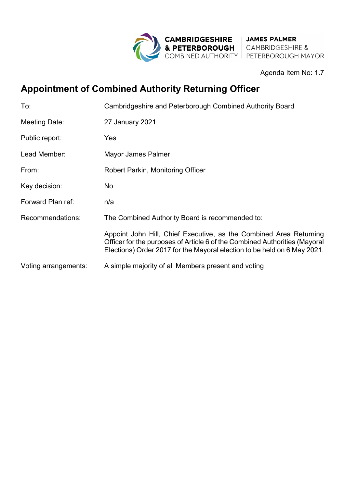

Agenda Item No: 1.7

# **Appointment of Combined Authority Returning Officer**

| To:                  | Cambridgeshire and Peterborough Combined Authority Board                                                                                                                                                                     |
|----------------------|------------------------------------------------------------------------------------------------------------------------------------------------------------------------------------------------------------------------------|
| Meeting Date:        | 27 January 2021                                                                                                                                                                                                              |
| Public report:       | Yes                                                                                                                                                                                                                          |
| Lead Member:         | Mayor James Palmer                                                                                                                                                                                                           |
| From:                | <b>Robert Parkin, Monitoring Officer</b>                                                                                                                                                                                     |
| Key decision:        | No                                                                                                                                                                                                                           |
| Forward Plan ref:    | n/a                                                                                                                                                                                                                          |
| Recommendations:     | The Combined Authority Board is recommended to:                                                                                                                                                                              |
|                      | Appoint John Hill, Chief Executive, as the Combined Area Returning<br>Officer for the purposes of Article 6 of the Combined Authorities (Mayoral<br>Elections) Order 2017 for the Mayoral election to be held on 6 May 2021. |
| Voting arrangements: | A simple majority of all Members present and voting                                                                                                                                                                          |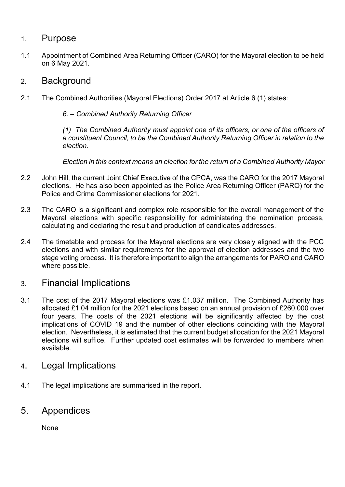#### 1. Purpose

1.1 Appointment of Combined Area Returning Officer (CARO) for the Mayoral election to be held on 6 May 2021.

#### 2. Background

2.1 The Combined Authorities (Mayoral Elections) Order 2017 at Article 6 (1) states:

*6. – Combined Authority Returning Officer* 

 *(1) The Combined Authority must appoint one of its officers, or one of the officers of a constituent Council, to be the Combined Authority Returning Officer in relation to the election.* 

 *Election in this context means an election for the return of a Combined Authority Mayor* 

- 2.2 John Hill, the current Joint Chief Executive of the CPCA, was the CARO for the 2017 Mayoral elections. He has also been appointed as the Police Area Returning Officer (PARO) for the Police and Crime Commissioner elections for 2021.
- 2.3 The CARO is a significant and complex role responsible for the overall management of the Mayoral elections with specific responsibility for administering the nomination process, calculating and declaring the result and production of candidates addresses.
- 2.4 The timetable and process for the Mayoral elections are very closely aligned with the PCC elections and with similar requirements for the approval of election addresses and the two stage voting process. It is therefore important to align the arrangements for PARO and CARO where possible.

## 3. Financial Implications

- 3.1 The cost of the 2017 Mayoral elections was £1.037 million. The Combined Authority has allocated £1.04 million for the 2021 elections based on an annual provision of £260,000 over four years. The costs of the 2021 elections will be significantly affected by the cost implications of COVID 19 and the number of other elections coinciding with the Mayoral election. Nevertheless, it is estimated that the current budget allocation for the 2021 Mayoral elections will suffice. Further updated cost estimates will be forwarded to members when available.
- 4. Legal Implications
- 4.1 The legal implications are summarised in the report.

### 5. Appendices

None